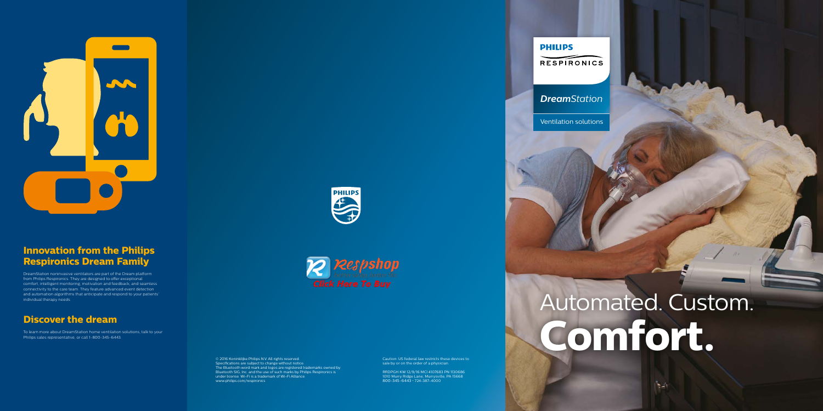Key Content

Caution: US federal law restricts these devices to sale by or on the order of a physician.

RRDPGH KW 12/9/16 MCI 4107683 PN 1130686 1010 Murry Ridge Lane, Murrysville, PA 15668 800-345-6443 • 724-387-4000



© 2016 Koninklijke Philips N.V. All rights reserved. Specifications are subject to change without notice. The Bluetooth word mark and logos are registered trademarks owned by Bluetooth SIG, Inc. and the use of such marks by Philips Respironics is under license. Wi-Fi is a trademark of Wi-Fi Alliance. www.philips.com/respironics

# Automated. Custom. **Comfort.**

N.



## **Innovation from the Philips Respironics Dream Family**

DreamStation noninvasive ventilators are part of the Dream platform from Philips Respironics. They are designed to offer exceptional comfort, intelligent monitoring, motivation and feedback, and seamless connectivity to the care team. They feature advanced event detection and automation algorithms that anticipate and respond to your patients' individual therapy needs.

## **Discover the dream**

To learn more about DreamStation home ventilation solutions, talk to your Philips sales representative, or call 1-800-345-6443.





## *DreamStation*

Ventilation solutions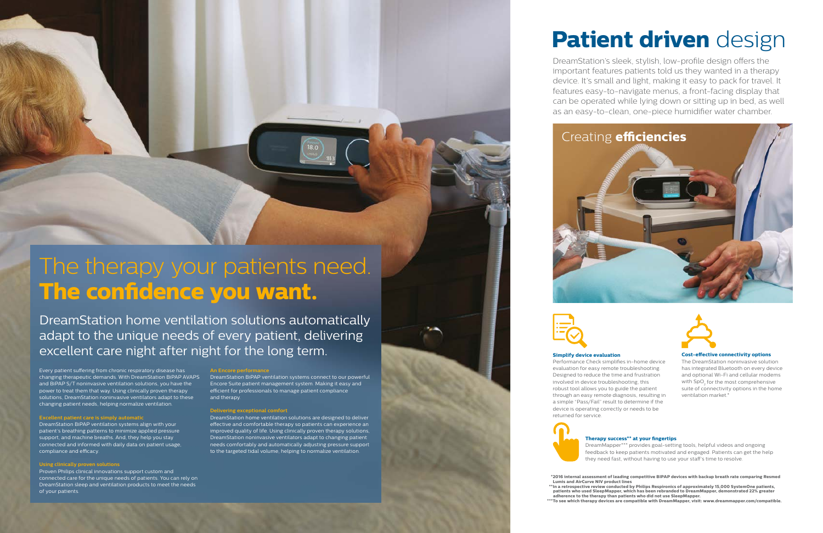# The therapy your patients need. **The confidence you want.**

DreamStation home ventilation solutions automatically adapt to the unique needs of every patient, delivering excellent care night after night for the long term.

Every patient suffering from chronic respiratory disease has changing therapeutic demands. With DreamStation BiPAP AVAPS and BiPAP S/T noninvasive ventilation solutions, you have the power to treat them that way. Using clinically proven therapy solutions, DreamStation noninvasive ventilators adapt to these changing patient needs, helping normalize ventilation.

### **Excellent patient care is simply automatic**

DreamStation BiPAP ventilation systems align with your patient's breathing patterns to minimize applied pressure support, and machine breaths. And, they help you stay connected and informed with daily data on patient usage, compliance and efficacy.

### **Using clinically proven solutions**

Proven Philips clinical innovations support custom and connected care for the unique needs of patients. You can rely on DreamStation sleep and ventilation products to meet the needs of your patients.

DreamStation BiPAP ventilation systems connect to our powerful Encore Suite patient management system. Making it easy and efficient for professionals to manage patient compliance and therapy.

### **Delivering exceptional comfort**

DreamStation home ventilation solutions are designed to deliver effective and comfortable therapy so patients can experience an improved quality of life. Using clinically proven therapy solutions, DreamStation noninvasive ventilators adapt to changing patient needs comfortably and automatically adjusting pressure support to the targeted tidal volume, helping to normalize ventilation.



## **Simplify device evaluation**

Performance Check simplifies in-home device evaluation for easy remote troubleshooting. Designed to reduce the time and frustration involved in device troubleshooting, this robust tool allows you to guide the patient through an easy remote diagnosis, resulting in a simple "Pass/Fail" result to determine if the device is operating correctly or needs to be returned for service.



### **Cost-effective connectivity options**

The DreamStation noninvasive solution has integrated Bluetooth on every device and optional Wi-Fi and cellular modems with SpO $_2$  for the most comprehensive suite of connectivity options in the home ventilation market.\*

# **Patient driven** design



DreamStation's sleek, stylish, low-profile design offers the important features patients told us they wanted in a therapy device. It's small and light, making it easy to pack for travel. It features easy-to-navigate menus, a front-facing display that can be operated while lying down or sitting up in bed, as well as an easy-to-clean, one-piece humidifier water chamber.

## **Therapy success\*\* at your fingertips**

DreamMapper\*\*\* provides goal-setting tools, helpful videos and ongoing feedback to keep patients motivated and engaged. Patients can get the help they need fast, without having to use your staff's time to resolve.

**Lumis and AirCurve NIV product lines**

- **\*2016 internal assessment of leading competitive BIPAP devices with backup breath rate comparing Resmed**
- **\*\*In a retrospective review conducted by Philips Respironics of approximately 15,000 SystemOne patients, patients who used SleepMapper, which has been rebranded to DreamMapper, demonstrated 22% greater adherence to the therapy than patients who did not use SleepMapper.**
- **\*\*\*To see which therapy devices are compatible with DreamMapper, visit: www.dreammapper.com/compatible.**



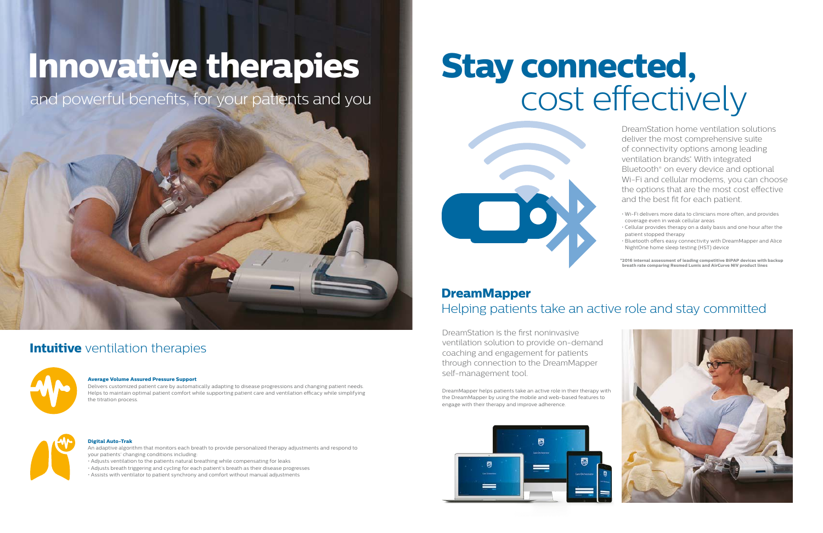DreamStation home ventilation solutions deliver the most comprehensive suite of connectivity options among leading ventilation brands<sup>\*</sup>. With integrated Bluetooth® on every device and optional Wi-Fi and cellular modems, you can choose the options that are the most cost effective and the best fit for each patient.

- Wi-Fi delivers more data to clinicians more often, and provides coverage even in weak cellular areas
- Cellular provides therapy on a daily basis and one hour after the patient stopped therapy
- Bluetooth offers easy connectivity with DreamMapper and Alice NightOne home sleep testing (HST) device

# **Stay connected,** cost effectively



# **DreamMapper** Helping patients take an active role and stay committed

DreamStation is the first noninvasive ventilation solution to provide on-demand coaching and engagement for patients through connection to the DreamMapper self-management tool.

DreamMapper helps patients take an active role in their therapy with the DreamMapper by using the mobile and web-based features to engage with their therapy and improve adherence.



# **Innovative therapies**

and powerful benefits, for your patients and you



# **Intuitive** ventilation therapies



### **Average Volume Assured Pressure Support**

Delivers customized patient care by automatically adapting to disease progressions and changing patient needs. Helps to maintain optimal patient comfort while supporting patient care and ventilation efficacy while simplifying the titration process.



## **Digital Auto-Trak**

An adaptive algorithm that monitors each breath to provide personalized therapy adjustments and respond to your patients' changing conditions including:

- Adjusts ventilation to the patients natural breathing while compensating for leaks
- Adjusts breath triggering and cycling for each patient's breath as their disease progresses

• Assists with ventilator to patient synchrony and comfort without manual adjustments

**\*2016 internal assessment of leading competitive BiPAP devices with backup breath rate comparing Resmed Lumis and AirCurve NIV product lines**